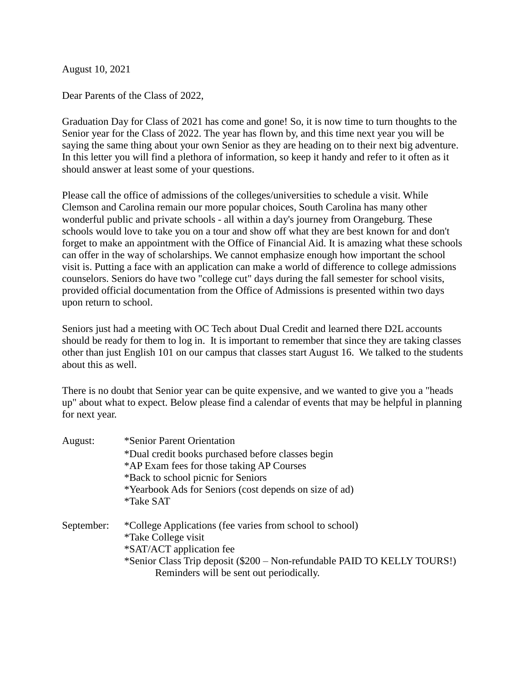August 10, 2021

Dear Parents of the Class of 2022,

Graduation Day for Class of 2021 has come and gone! So, it is now time to turn thoughts to the Senior year for the Class of 2022. The year has flown by, and this time next year you will be saying the same thing about your own Senior as they are heading on to their next big adventure. In this letter you will find a plethora of information, so keep it handy and refer to it often as it should answer at least some of your questions.

Please call the office of admissions of the colleges/universities to schedule a visit. While Clemson and Carolina remain our more popular choices, South Carolina has many other wonderful public and private schools - all within a day's journey from Orangeburg. These schools would love to take you on a tour and show off what they are best known for and don't forget to make an appointment with the Office of Financial Aid. It is amazing what these schools can offer in the way of scholarships. We cannot emphasize enough how important the school visit is. Putting a face with an application can make a world of difference to college admissions counselors. Seniors do have two "college cut" days during the fall semester for school visits, provided official documentation from the Office of Admissions is presented within two days upon return to school.

Seniors just had a meeting with OC Tech about Dual Credit and learned there D2L accounts should be ready for them to log in. It is important to remember that since they are taking classes other than just English 101 on our campus that classes start August 16. We talked to the students about this as well.

There is no doubt that Senior year can be quite expensive, and we wanted to give you a "heads up" about what to expect. Below please find a calendar of events that may be helpful in planning for next year.

| August:    | *Senior Parent Orientation                                               |
|------------|--------------------------------------------------------------------------|
|            | *Dual credit books purchased before classes begin                        |
|            | *AP Exam fees for those taking AP Courses                                |
|            | *Back to school picnic for Seniors                                       |
|            | *Yearbook Ads for Seniors (cost depends on size of ad)                   |
|            | <i>*Take SAT</i>                                                         |
| September: | *College Applications (fee varies from school to school)                 |
|            | <i>*Take College visit</i>                                               |
|            | *SAT/ACT application fee                                                 |
|            | *Senior Class Trip deposit (\$200 – Non-refundable PAID TO KELLY TOURS!) |
|            | Reminders will be sent out periodically.                                 |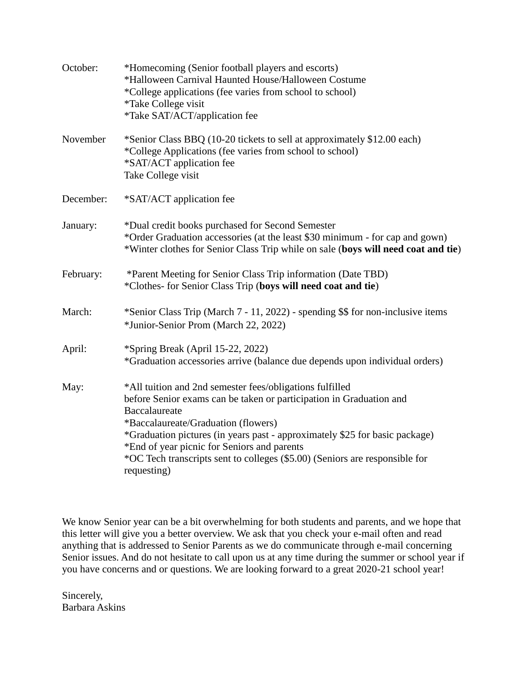| October:  | *Homecoming (Senior football players and escorts)<br>*Halloween Carnival Haunted House/Halloween Costume<br>*College applications (fee varies from school to school)<br><i>*Take College visit</i><br><i>*Take SAT/ACT/application fee</i>                                                                                                                                                                          |
|-----------|---------------------------------------------------------------------------------------------------------------------------------------------------------------------------------------------------------------------------------------------------------------------------------------------------------------------------------------------------------------------------------------------------------------------|
| November  | *Senior Class BBQ (10-20 tickets to sell at approximately \$12.00 each)<br>*College Applications (fee varies from school to school)<br>*SAT/ACT application fee<br>Take College visit                                                                                                                                                                                                                               |
| December: | *SAT/ACT application fee                                                                                                                                                                                                                                                                                                                                                                                            |
| January:  | *Dual credit books purchased for Second Semester<br>*Order Graduation accessories (at the least \$30 minimum - for cap and gown)<br>*Winter clothes for Senior Class Trip while on sale (boys will need coat and tie)                                                                                                                                                                                               |
| February: | *Parent Meeting for Senior Class Trip information (Date TBD)<br>*Clothes- for Senior Class Trip (boys will need coat and tie)                                                                                                                                                                                                                                                                                       |
| March:    | *Senior Class Trip (March 7 - 11, 2022) - spending \$\$ for non-inclusive items<br>*Junior-Senior Prom (March 22, 2022)                                                                                                                                                                                                                                                                                             |
| April:    | *Spring Break (April 15-22, 2022)<br>*Graduation accessories arrive (balance due depends upon individual orders)                                                                                                                                                                                                                                                                                                    |
| May:      | *All tuition and 2nd semester fees/obligations fulfilled<br>before Senior exams can be taken or participation in Graduation and<br>Baccalaureate<br>*Baccalaureate/Graduation (flowers)<br>*Graduation pictures (in years past - approximately \$25 for basic package)<br>*End of year picnic for Seniors and parents<br>*OC Tech transcripts sent to colleges (\$5.00) (Seniors are responsible for<br>requesting) |

We know Senior year can be a bit overwhelming for both students and parents, and we hope that this letter will give you a better overview. We ask that you check your e-mail often and read anything that is addressed to Senior Parents as we do communicate through e-mail concerning Senior issues. And do not hesitate to call upon us at any time during the summer or school year if you have concerns and or questions. We are looking forward to a great 2020-21 school year!

Sincerely, Barbara Askins